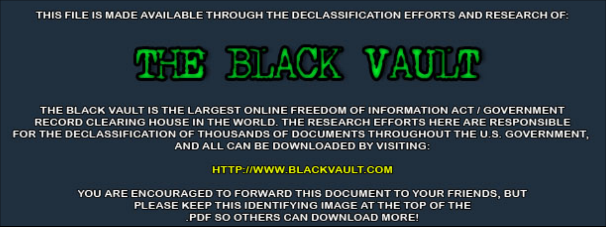THIS FILE IS MADE AVAILABLE THROUGH THE DECLASSIFICATION EFFORTS AND RESEARCH OF:



THE BLACK VAULT IS THE LARGEST ONLINE FREEDOM OF INFORMATION ACT / GOVERNMENT RECORD CLEARING HOUSE IN THE WORLD. THE RESEARCH EFFORTS HERE ARE RESPONSIBLE FOR THE DECLASSIFICATION OF THOUSANDS OF DOCUMENTS THROUGHOUT THE U.S. GOVERNMENT, AND ALL CAN BE DOWNLOADED BY VISITING:

**HTTP://WWW.BLACKVAULT.COM** 

YOU ARE ENCOURAGED TO FORWARD THIS DOCUMENT TO YOUR FRIENDS, BUT PLEASE KEEP THIS IDENTIFYING IMAGE AT THE TOP OF THE PDF SO OTHERS CAN DOWNLOAD MORE!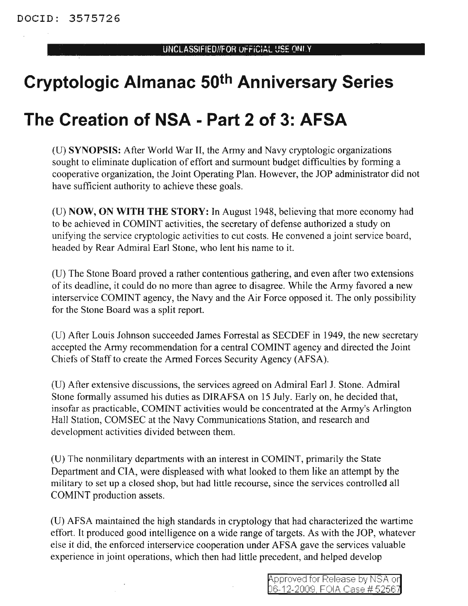# **Cryptologic Almanac 50th Anniversary Series**

## **The Creation of NSA - Part 2 of 3: AFSA**

(U) SYNOPSIS: After World War II, the Army and Navy cryptologic organizations sought to eliminate duplication of effort and surmount budget difficulties by forming a cooperative organization, the Joint Operating Plan. However, the JOP administrator did not have sufficient authority to achieve these goals.

(U) NOW, ON **WITH THE** STORY: In August 1948, believing that more economy had to be achieved in COMINT activities, the secretary of defense authorized a study on unifying the service cryptologic activities to cut costs. He convened a joint service board, headed by Rear Admiral Earl Stone, who lent his name to it.

(U) The Stone Board proved a rather contentious gathering, and even after two extensions of its deadline, it could do no more than agree to disagree. While the Army favored a new interservice COMINT agency, the Navy and the Air Force opposed it. The only possibility for the Stone Board was a split report.

(U) After Louis Johnson succeeded James Forrestal as SECDEF in 1949, the new secretary accepted the Army recommendation for a central COMINT agency and directed the Joint Chiefs of Staff to create the Armed Forces Security Agency (AFSA).

(U) After extensive discussions, the services agreed on Admiral Earl J. Stone. Admiral Stone formally assumed his duties as DIRAFSA on 15 July. Early on, he decided that, insofar as practicable, COMINT activities would be concentrated at the Army's Arlington Hall Station, COMSEC at the Navy Communications Station, and research and development activities divided between them.

(U) The nonmilitary departments with an interest in COMINT, primarily the State Department and CIA, were displeased with what looked to them like an attempt by the military to set up a closed shop, but had little recourse, since the services controlled all COMINT production assets.

(U) AFSA maintained the high standards in cryptology that had characterized the wartime effort. It produced good intelligence on a wide range of targets. As with the JOP, whatever else it did, the enforced interservice cooperation under AFSA gave the services valuable experience in joint operations, which then had little precedent, and helped develop